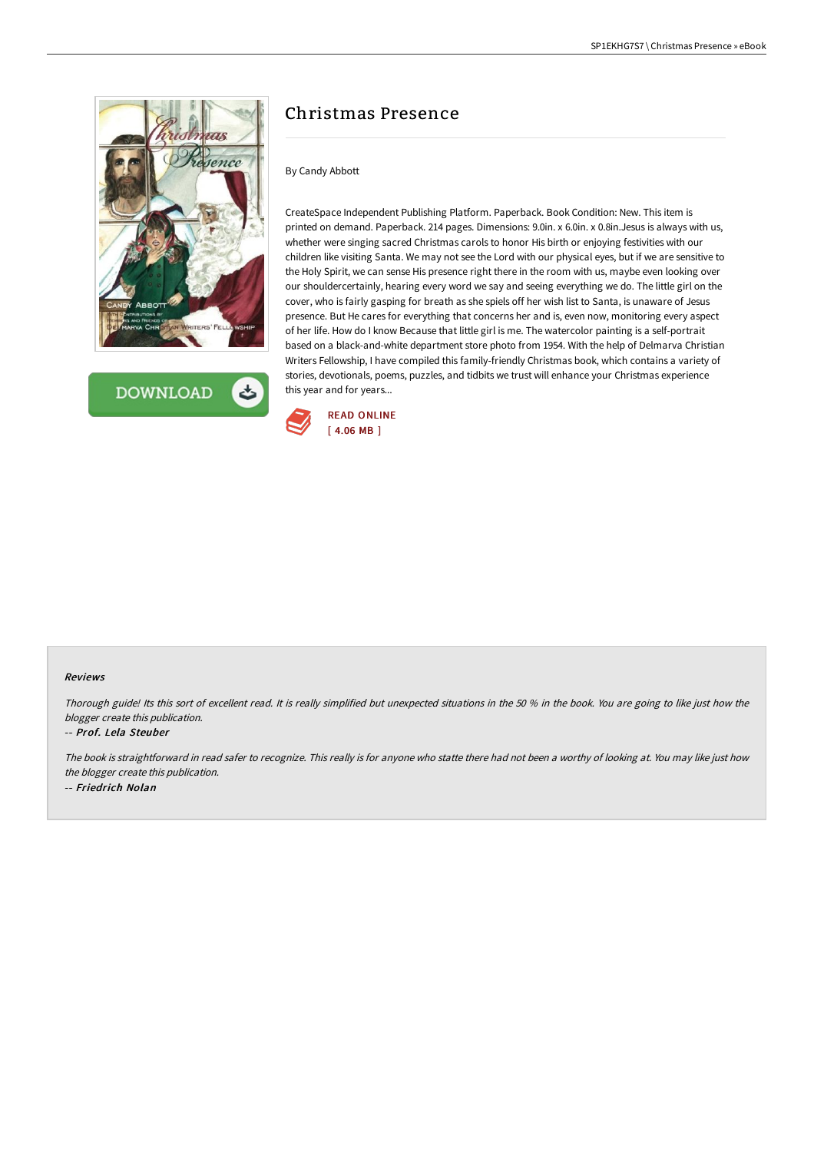

**DOWNLOAD** 

# Christmas Presence

## By Candy Abbott

CreateSpace Independent Publishing Platform. Paperback. Book Condition: New. This item is printed on demand. Paperback. 214 pages. Dimensions: 9.0in. x 6.0in. x 0.8in.Jesus is always with us, whether were singing sacred Christmas carols to honor His birth or enjoying festivities with our children like visiting Santa. We may not see the Lord with our physical eyes, but if we are sensitive to the Holy Spirit, we can sense His presence right there in the room with us, maybe even looking over our shouldercertainly, hearing every word we say and seeing everything we do. The little girl on the cover, who is fairly gasping for breath as she spiels off her wish list to Santa, is unaware of Jesus presence. But He cares for everything that concerns her and is, even now, monitoring every aspect of her life. How do I know Because that little girl is me. The watercolor painting is a self-portrait based on a black-and-white department store photo from 1954. With the help of Delmarva Christian Writers Fellowship, I have compiled this family-friendly Christmas book, which contains a variety of stories, devotionals, poems, puzzles, and tidbits we trust will enhance your Christmas experience this year and for years...



#### Reviews

Thorough guide! Its this sort of excellent read. It is really simplified but unexpected situations in the <sup>50</sup> % in the book. You are going to like just how the blogger create this publication.

#### -- Prof. Lela Steuber

The book is straightforward in read safer to recognize. This really is for anyone who statte there had not been <sup>a</sup> worthy of looking at. You may like just how the blogger create this publication. -- Friedrich Nolan